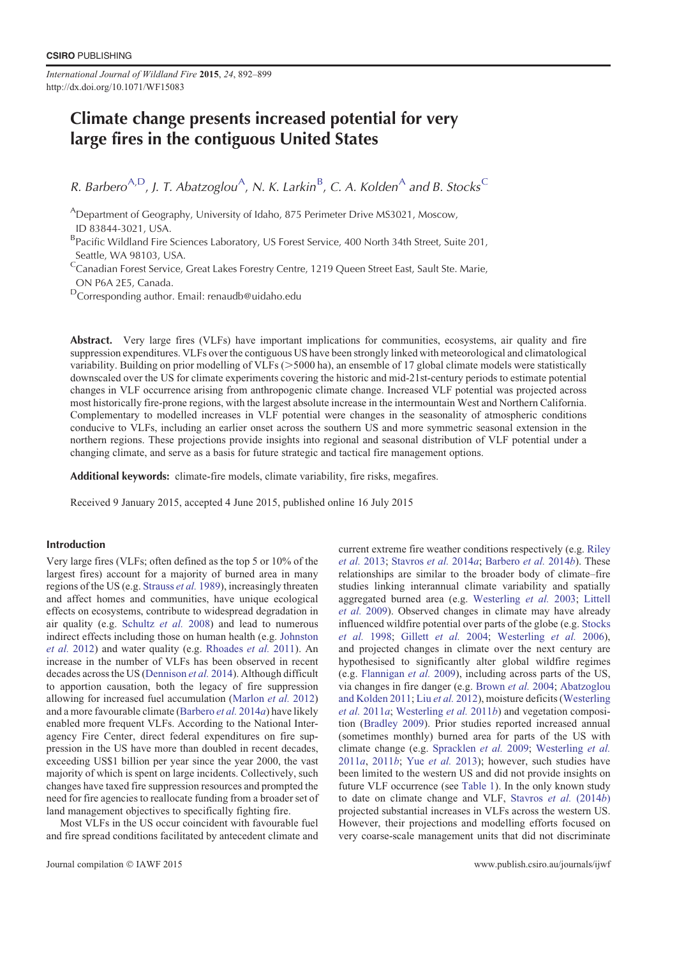*International Journal of Wildland Fire* **2015**, *24*, 892–899 http://dx.doi.org/10.1071/WF15083

# Climate change presents increased potential for very large fires in the contiguous United States

R. Barbero<sup>A,D</sup>, J. T. Abatzoglou<sup>A</sup>, N. K. Larkin<sup>B</sup>, C. A. Kolden<sup>A</sup> and B. Stocks<sup>C</sup>

<sup>A</sup>Department of Geography, University of Idaho, 875 Perimeter Drive MS3021, Moscow, ID 83844-3021, USA.

<sup>B</sup>Pacific Wildland Fire Sciences Laboratory, US Forest Service, 400 North 34th Street, Suite 201, Seattle, WA 98103, USA.

<sup>C</sup>Canadian Forest Service, Great Lakes Forestry Centre, 1219 Queen Street East, Sault Ste. Marie, ON P6A 2E5, Canada.

DCorresponding author. Email: renaudb@uidaho.edu

Abstract. Very large fires (VLFs) have important implications for communities, ecosystems, air quality and fire suppression expenditures. VLFs over the contiguous US have been strongly linked with meteorological and climatological variability. Building on prior modelling of VLFs ( $>5000$  ha), an ensemble of 17 global climate models were statistically downscaled over the US for climate experiments covering the historic and mid-21st-century periods to estimate potential changes in VLF occurrence arising from anthropogenic climate change. Increased VLF potential was projected across most historically fire-prone regions, with the largest absolute increase in the intermountain West and Northern California. Complementary to modelled increases in VLF potential were changes in the seasonality of atmospheric conditions conducive to VLFs, including an earlier onset across the southern US and more symmetric seasonal extension in the northern regions. These projections provide insights into regional and seasonal distribution of VLF potential under a changing climate, and serve as a basis for future strategic and tactical fire management options.

Additional keywords: climate-fire models, climate variability, fire risks, megafires.

Received 9 January 2015, accepted 4 June 2015, published online 16 July 2015

## Introduction

Very large fires (VLFs; often defined as the top 5 or 10% of the largest fires) account for a majority of burned area in many regions of the US (e.g. [Strauss](#page-6-0) *et al.* 1989), increasingly threaten and affect homes and communities, have unique ecological effects on ecosystems, contribute to widespread degradation in air quality (e.g. [Schultz](#page-6-0) *et al.* 2008) and lead to numerous indirect effects including those on human health (e.g. [Johnston](#page-6-0) *[et al.](#page-6-0)* 2012) and water quality (e.g. [Rhoades](#page-6-0) *et al.* 2011). An increase in the number of VLFs has been observed in recent decades across the US ([Dennison](#page-5-0) *et al.* 2014). Although difficult to apportion causation, both the legacy of fire suppression allowing for increased fuel accumulation ([Marlon](#page-6-0) *et al.* 2012) and a more favourable climate [\(Barbero](#page-5-0) *et al.* 2014*a*) have likely enabled more frequent VLFs. According to the National Interagency Fire Center, direct federal expenditures on fire suppression in the US have more than doubled in recent decades, exceeding US\$1 billion per year since the year 2000, the vast majority of which is spent on large incidents. Collectively, such changes have taxed fire suppression resources and prompted the need for fire agencies to reallocate funding from a broader set of land management objectives to specifically fighting fire.

Most VLFs in the US occur coincident with favourable fuel and fire spread conditions facilitated by antecedent climate and current extreme fire weather conditions respectively (e.g. [Riley](#page-6-0) *[et al.](#page-6-0)* 2013; [Stavros](#page-6-0) *et al.* 2014*a*; [Barbero](#page-5-0) *et al.* 2014*b*). These relationships are similar to the broader body of climate–fire studies linking interannual climate variability and spatially aggregated burned area (e.g. [Westerling](#page-6-0) *et al.* 2003; [Littell](#page-6-0) *[et al.](#page-6-0)* 2009). Observed changes in climate may have already influenced wildfire potential over parts of the globe (e.g. [Stocks](#page-6-0) *[et al.](#page-6-0)* 1998; [Gillett](#page-6-0) *et al.* 2004; [Westerling](#page-7-0) *et al.* 2006), and projected changes in climate over the next century are hypothesised to significantly alter global wildfire regimes (e.g. [Flannigan](#page-6-0) *et al.* 2009), including across parts of the US, via changes in fire danger (e.g. [Brown](#page-5-0) *et al.* 2004; [Abatzoglou](#page-5-0) [and Kolden 2011;](#page-5-0) Liu *et al.* [2012](#page-6-0)), moisture deficits [\(Westerling](#page-7-0) *[et al.](#page-7-0)* 2011*a*; [Westerling](#page-7-0) *et al.* 2011*b*) and vegetation composition ([Bradley 2009\)](#page-5-0). Prior studies reported increased annual (sometimes monthly) burned area for parts of the US with climate change (e.g. [Spracklen](#page-6-0) *et al.* 2009; [Westerling](#page-7-0) *et al.* [2011](#page-7-0)*a*, [2011](#page-7-0)*b*; Yue *[et al.](#page-7-0)* 2013); however, such studies have been limited to the western US and did not provide insights on future VLF occurrence (see [Table 1](#page-1-0)). In the only known study to date on climate change and VLF, [Stavros](#page-6-0) *et al.* (2014*b*) projected substantial increases in VLFs across the western US. However, their projections and modelling efforts focused on very coarse-scale management units that did not discriminate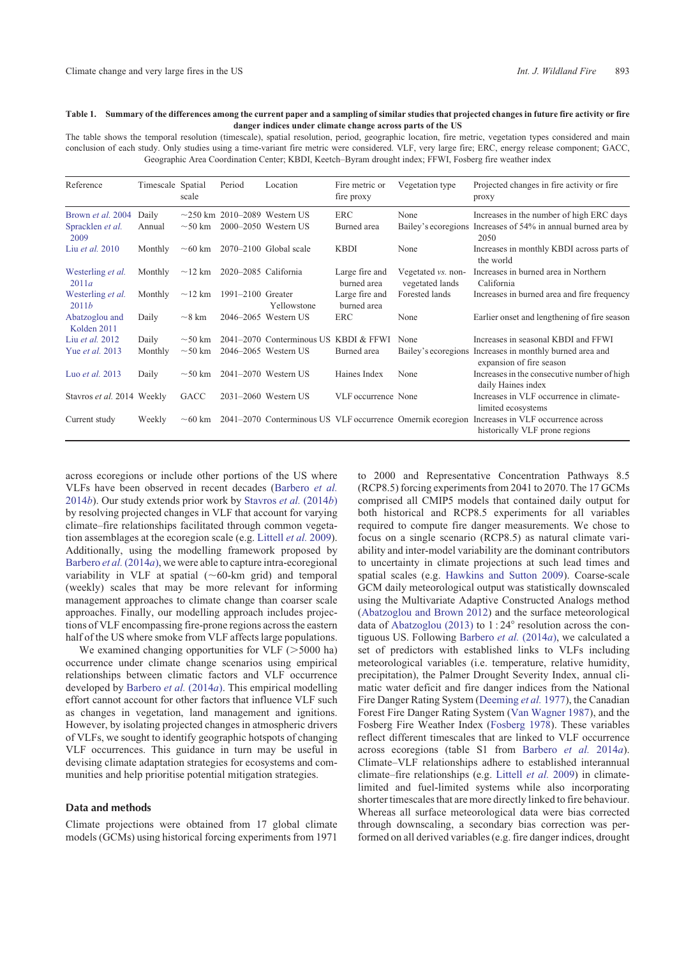#### <span id="page-1-0"></span>**Table 1. Summary of the differences among the current paper and a sampling of similar studies that projected changes in future fire activity or fire danger indices under climate change across parts of the US**

The table shows the temporal resolution (timescale), spatial resolution, period, geographic location, fire metric, vegetation types considered and main conclusion of each study. Only studies using a time-variant fire metric were considered. VLF, very large fire; ERC, energy release component; GACC, Geographic Area Coordination Center; KBDI, Keetch–Byram drought index; FFWI, Fosberg fire weather index

| Reference                     | Timescale Spatial | scale        | Period                | Location                              | Fire metric or<br>fire proxy  | Vegetation type                       | Projected changes in fire activity or fire.<br>proxy                                                                            |  |
|-------------------------------|-------------------|--------------|-----------------------|---------------------------------------|-------------------------------|---------------------------------------|---------------------------------------------------------------------------------------------------------------------------------|--|
| Brown et al. 2004             | Daily             |              |                       | $\sim$ 250 km 2010–2089 Western US    | <b>ERC</b>                    | None                                  | Increases in the number of high ERC days                                                                                        |  |
| Spracklen et al.<br>2009      | Annual            | $\sim$ 50 km |                       | 2000–2050 Western US                  | Burned area                   |                                       | Bailey's ecoregions Increases of 54% in annual burned area by<br>2050                                                           |  |
| Liu et al. 2010               | Monthly           | $\sim$ 60 km |                       | $2070 - 2100$ Global scale            | <b>KBDI</b>                   | None                                  | Increases in monthly KBDI across parts of<br>the world                                                                          |  |
| Westerling et al.<br>2011a    | Monthly           | $\sim$ 12 km | 2020-2085 California  |                                       | Large fire and<br>burned area | Vegetated vs. non-<br>vegetated lands | Increases in burned area in Northern<br>California                                                                              |  |
| Westerling et al.<br>2011b    | Monthly           | $\sim$ 12 km | $1991 - 2100$ Greater | Yellowstone                           | Large fire and<br>burned area | Forested lands                        | Increases in burned area and fire frequency                                                                                     |  |
| Abatzoglou and<br>Kolden 2011 | Daily             | $\sim$ 8 km  |                       | 2046–2065 Western US                  | ERC                           | None                                  | Earlier onset and lengthening of fire season                                                                                    |  |
| Liu et al. 2012               | Daily             | $\sim$ 50 km |                       | 2041–2070 Conterminous US KBDI & FFWI |                               | None                                  | Increases in seasonal KBDI and FFWI                                                                                             |  |
| Yue et al. 2013               | Monthly           | $\sim$ 50 km |                       | 2046–2065 Western US                  | Burned area                   |                                       | Bailey's ecoregions Increases in monthly burned area and<br>expansion of fire season                                            |  |
| Luo et al. 2013               | Daily             | $\sim$ 50 km |                       | 2041-2070 Western US                  | Haines Index                  | None                                  | Increases in the consecutive number of high<br>daily Haines index                                                               |  |
| Stavros et al. 2014 Weekly    |                   | GACC         |                       | 2031-2060 Western US                  | VLF occurrence None           |                                       | Increases in VLF occurrence in climate-<br>limited ecosystems                                                                   |  |
| Current study                 | Weekly            | $\sim$ 60 km |                       |                                       |                               |                                       | 2041–2070 Conterminous US VLF occurrence Omernik ecoregion Increases in VLF occurrence across<br>historically VLF prone regions |  |

across ecoregions or include other portions of the US where VLFs have been observed in recent decades ([Barbero](#page-5-0) *et al.* [2014](#page-5-0)*b*). Our study extends prior work by [Stavros](#page-6-0) *et al.* (2014*b*) by resolving projected changes in VLF that account for varying climate–fire relationships facilitated through common vegetation assemblages at the ecoregion scale (e.g. [Littell](#page-6-0) *et al.* 2009). Additionally, using the modelling framework proposed by [Barbero](#page-5-0) *et al.* (2014*a*), we were able to capture intra-ecoregional variability in VLF at spatial  $(\sim 60$ -km grid) and temporal (weekly) scales that may be more relevant for informing management approaches to climate change than coarser scale approaches. Finally, our modelling approach includes projections of VLF encompassing fire-prone regions across the eastern half of the US where smoke from VLF affects large populations.

We examined changing opportunities for VLF  $($ >5000 ha) occurrence under climate change scenarios using empirical relationships between climatic factors and VLF occurrence developed by [Barbero](#page-5-0) *et al.* (2014*a*). This empirical modelling effort cannot account for other factors that influence VLF such as changes in vegetation, land management and ignitions. However, by isolating projected changes in atmospheric drivers of VLFs, we sought to identify geographic hotspots of changing VLF occurrences. This guidance in turn may be useful in devising climate adaptation strategies for ecosystems and communities and help prioritise potential mitigation strategies.

## Data and methods

Climate projections were obtained from 17 global climate models (GCMs) using historical forcing experiments from 1971 to 2000 and Representative Concentration Pathways 8.5 (RCP8.5) forcing experiments from 2041 to 2070. The 17 GCMs comprised all CMIP5 models that contained daily output for both historical and RCP8.5 experiments for all variables required to compute fire danger measurements. We chose to focus on a single scenario (RCP8.5) as natural climate variability and inter-model variability are the dominant contributors to uncertainty in climate projections at such lead times and spatial scales (e.g. [Hawkins and Sutton 2009\)](#page-6-0). Coarse-scale GCM daily meteorological output was statistically downscaled using the Multivariate Adaptive Constructed Analogs method ([Abatzoglou and Brown 2012](#page-5-0)) and the surface meteorological data of [Abatzoglou \(2013\)](#page-5-0) to  $1:24^{\circ}$  resolution across the contiguous US. Following [Barbero](#page-5-0) *et al.* (2014*a*), we calculated a set of predictors with established links to VLFs including meteorological variables (i.e. temperature, relative humidity, precipitation), the Palmer Drought Severity Index, annual climatic water deficit and fire danger indices from the National Fire Danger Rating System ([Deeming](#page-5-0) *et al.* 1977), the Canadian Forest Fire Danger Rating System [\(Van Wagner 1987\)](#page-6-0), and the Fosberg Fire Weather Index ([Fosberg 1978](#page-6-0)). These variables reflect different timescales that are linked to VLF occurrence across ecoregions (table S1 from [Barbero](#page-5-0) *et al.* 2014*a*). Climate–VLF relationships adhere to established interannual climate–fire relationships (e.g. [Littell](#page-6-0) *et al.* 2009) in climatelimited and fuel-limited systems while also incorporating shorter timescales that are more directly linked to fire behaviour. Whereas all surface meteorological data were bias corrected through downscaling, a secondary bias correction was performed on all derived variables (e.g. fire danger indices, drought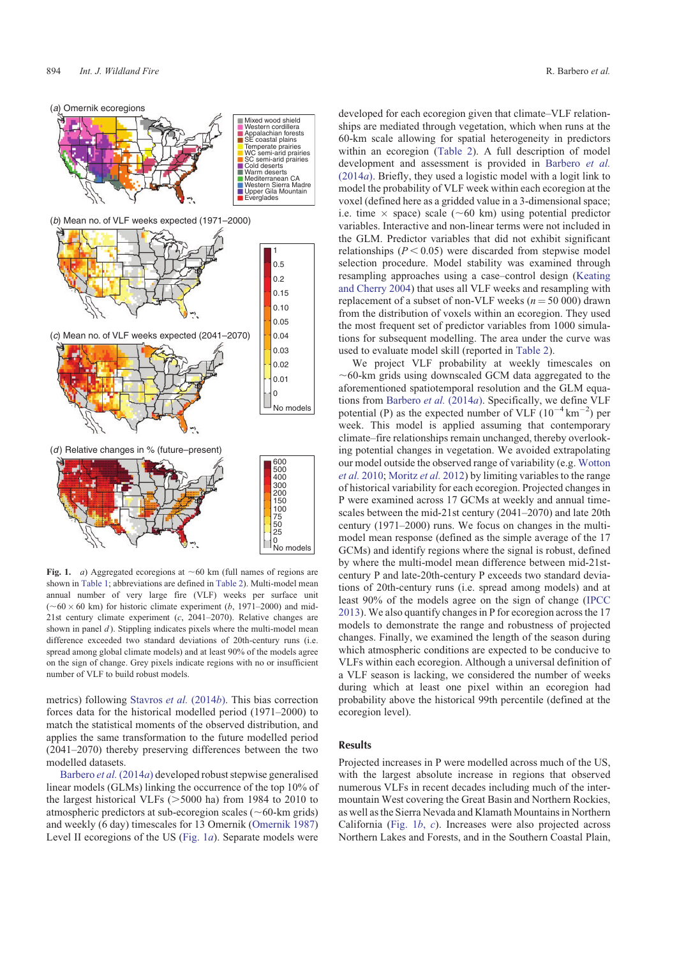<span id="page-2-0"></span>(*a*) Omernik ecoregions



**Fig. 1.** *a*) Aggregated ecoregions at  $\sim 60$  km (full names of regions are shown in [Table 1;](#page-1-0) abbreviations are defined in [Table 2\)](#page-3-0). Multi-model mean annual number of very large fire (VLF) weeks per surface unit  $(-60 \times 60 \text{ km})$  for historic climate experiment (*b*, 1971–2000) and mid-21st century climate experiment (*c*, 2041–2070). Relative changes are shown in panel *d* ). Stippling indicates pixels where the multi-model mean difference exceeded two standard deviations of 20th-century runs (i.e. spread among global climate models) and at least 90% of the models agree on the sign of change. Grey pixels indicate regions with no or insufficient number of VLF to build robust models.

metrics) following [Stavros](#page-6-0) *et al.* (2014*b*). This bias correction forces data for the historical modelled period (1971–2000) to match the statistical moments of the observed distribution, and applies the same transformation to the future modelled period (2041–2070) thereby preserving differences between the two modelled datasets.

[Barbero](#page-5-0) *et al.* (2014*a*) developed robust stepwise generalised linear models (GLMs) linking the occurrence of the top 10% of the largest historical VLFs  $(>5000$  ha) from 1984 to 2010 to atmospheric predictors at sub-ecoregion scales ( $\sim$ 60-km grids) and weekly (6 day) timescales for 13 Omernik ([Omernik 1987\)](#page-6-0) Level II ecoregions of the US (Fig. 1*a*). Separate models were

developed for each ecoregion given that climate–VLF relationships are mediated through vegetation, which when runs at the 60-km scale allowing for spatial heterogeneity in predictors within an ecoregion ([Table 2\)](#page-3-0). A full description of model development and assessment is provided in [Barbero](#page-5-0) *et al.* [\(2014](#page-5-0)*a*). Briefly, they used a logistic model with a logit link to model the probability of VLF week within each ecoregion at the voxel (defined here as a gridded value in a 3-dimensional space; i.e. time  $\times$  space) scale ( $\sim 60$  km) using potential predictor variables. Interactive and non-linear terms were not included in the GLM. Predictor variables that did not exhibit significant relationships  $(P < 0.05)$  were discarded from stepwise model selection procedure. Model stability was examined through resampling approaches using a case–control design ([Keating](#page-6-0) [and Cherry 2004](#page-6-0)) that uses all VLF weeks and resampling with replacement of a subset of non-VLF weeks  $(n = 50000)$  drawn from the distribution of voxels within an ecoregion. They used the most frequent set of predictor variables from 1000 simulations for subsequent modelling. The area under the curve was used to evaluate model skill (reported in [Table 2\)](#page-3-0).

We project VLF probability at weekly timescales on  $\sim$  60-km grids using downscaled GCM data aggregated to the aforementioned spatiotemporal resolution and the GLM equations from [Barbero](#page-5-0) *et al.* (2014*a*). Specifically, we define VLF potential (P) as the expected number of VLF  $(10^{-4} \text{ km}^{-2})$  per week. This model is applied assuming that contemporary climate–fire relationships remain unchanged, thereby overlooking potential changes in vegetation. We avoided extrapolating our model outside the observed range of variability (e.g. [Wotton](#page-7-0) *et al.* [2010](#page-7-0); [Moritz](#page-6-0) *et al.* 2012) by limiting variables to the range of historical variability for each ecoregion. Projected changes in P were examined across 17 GCMs at weekly and annual timescales between the mid-21st century (2041–2070) and late 20th century (1971–2000) runs. We focus on changes in the multimodel mean response (defined as the simple average of the 17 GCMs) and identify regions where the signal is robust, defined by where the multi-model mean difference between mid-21stcentury P and late-20th-century P exceeds two standard deviations of 20th-century runs (i.e. spread among models) and at least 90% of the models agree on the sign of change ([IPCC](#page-6-0) [2013\)](#page-6-0). We also quantify changes in P for ecoregion across the 17 models to demonstrate the range and robustness of projected changes. Finally, we examined the length of the season during which atmospheric conditions are expected to be conducive to VLFs within each ecoregion. Although a universal definition of a VLF season is lacking, we considered the number of weeks during which at least one pixel within an ecoregion had probability above the historical 99th percentile (defined at the ecoregion level).

## Results

Projected increases in P were modelled across much of the US, with the largest absolute increase in regions that observed numerous VLFs in recent decades including much of the intermountain West covering the Great Basin and Northern Rockies, as well as the Sierra Nevada and Klamath Mountains in Northern California (Fig. 1*b*, *c*). Increases were also projected across Northern Lakes and Forests, and in the Southern Coastal Plain,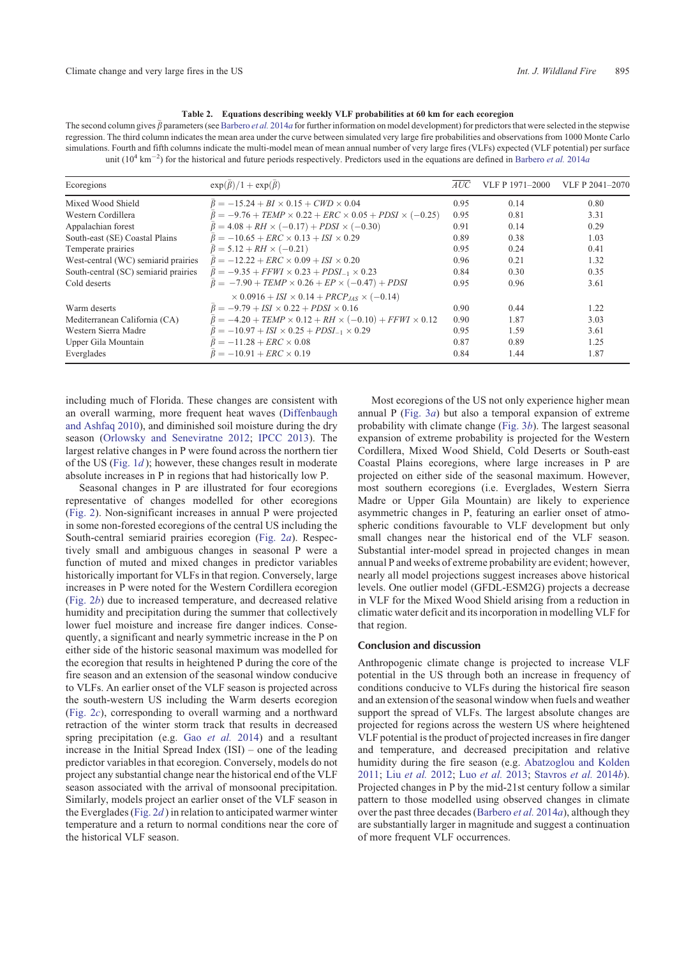#### **Table 2. Equations describing weekly VLF probabilities at 60 km for each ecoregion**

<span id="page-3-0"></span>The second column gives  $\bar{\beta}$  parameters (see [Barbero](#page-5-0) *et al.* 2014*a* for further information on model development) for predictors that were selected in the stepwise regression. The third column indicates the mean area under the curve between simulated very large fire probabilities and observations from 1000 Monte Carlo simulations. Fourth and fifth columns indicate the multi-model mean of mean annual number of very large fires (VLFs) expected (VLF potential) per surface unit  $(10^4 \text{ km}^{-2})$  for the historical and future periods respectively. Predictors used in the equations are defined in [Barbero](#page-5-0) *et al.* 2014*a* 

| Ecoregions                           | $\exp(\bar{\beta})/1 + \exp(\beta)$                                                                   | AUC  | VLF P 1971-2000 | VLF P 2041-2070 |
|--------------------------------------|-------------------------------------------------------------------------------------------------------|------|-----------------|-----------------|
| Mixed Wood Shield                    | $\beta = -15.24 + BI \times 0.15 + CWD \times 0.04$                                                   | 0.95 | 0.14            | 0.80            |
| Western Cordillera                   | $\bar{\beta} = -9.76 + \text{TEMP} \times 0.22 + \text{ERC} \times 0.05 + \text{PDSI} \times (-0.25)$ | 0.95 | 0.81            | 3.31            |
| Appalachian forest                   | $\bar{\beta} = 4.08 + RH \times (-0.17) + PDSI \times (-0.30)$                                        | 0.91 | 0.14            | 0.29            |
| South-east (SE) Coastal Plains       | $\beta = -10.65 + ERC \times 0.13 + ISI \times 0.29$                                                  | 0.89 | 0.38            | 1.03            |
| Temperate prairies                   | $\beta = 5.12 + RH \times (-0.21)$                                                                    | 0.95 | 0.24            | 0.41            |
| West-central (WC) semiarid prairies  | $\beta = -12.22 + ERC \times 0.09 + ISI \times 0.20$                                                  | 0.96 | 0.21            | 1.32            |
| South-central (SC) semiarid prairies | $\beta = -9.35 + FFWI \times 0.23 + PDSI_{-1} \times 0.23$                                            | 0.84 | 0.30            | 0.35            |
| Cold deserts                         | $\bar{\beta} = -7.90 + \text{TEMP} \times 0.26 + \text{EP} \times (-0.47) + \text{PDSI}$              | 0.95 | 0.96            | 3.61            |
|                                      | $\times$ 0.0916 + ISI $\times$ 0.14 + PRCP <sub>JAS</sub> $\times$ (-0.14)                            |      |                 |                 |
| Warm deserts                         | $\beta = -9.79 + ISI \times 0.22 + PDSI \times 0.16$                                                  | 0.90 | 0.44            | 1.22            |
| Mediterranean California (CA)        | $\beta = -4.20 + TEMP \times 0.12 + RH \times (-0.10) + FFWI \times 0.12$                             | 0.90 | 1.87            | 3.03            |
| Western Sierra Madre                 | $\bar{\beta} = -10.97 + ISI \times 0.25 + PDSI_{-1} \times 0.29$                                      | 0.95 | 1.59            | 3.61            |
| Upper Gila Mountain                  | $\beta = -11.28 + ERC \times 0.08$                                                                    | 0.87 | 0.89            | 1.25            |
| Everglades                           | $\beta = -10.91 + ERC \times 0.19$                                                                    | 0.84 | 1.44            | 1.87            |

including much of Florida. These changes are consistent with an overall warming, more frequent heat waves ([Diffenbaugh](#page-5-0) [and Ashfaq 2010\)](#page-5-0), and diminished soil moisture during the dry season ([Orlowsky and Seneviratne 2012;](#page-6-0) [IPCC 2013\)](#page-6-0). The largest relative changes in P were found across the northern tier of the US ([Fig. 1](#page-2-0)*d* ); however, these changes result in moderate absolute increases in P in regions that had historically low P.

Seasonal changes in P are illustrated for four ecoregions representative of changes modelled for other ecoregions ([Fig. 2\)](#page-4-0). Non-significant increases in annual P were projected in some non-forested ecoregions of the central US including the South-central semiarid prairies ecoregion ([Fig. 2](#page-4-0)*a*). Respectively small and ambiguous changes in seasonal P were a function of muted and mixed changes in predictor variables historically important for VLFs in that region. Conversely, large increases in P were noted for the Western Cordillera ecoregion ([Fig. 2](#page-4-0)*b*) due to increased temperature, and decreased relative humidity and precipitation during the summer that collectively lower fuel moisture and increase fire danger indices. Consequently, a significant and nearly symmetric increase in the P on either side of the historic seasonal maximum was modelled for the ecoregion that results in heightened P during the core of the fire season and an extension of the seasonal window conducive to VLFs. An earlier onset of the VLF season is projected across the south-western US including the Warm deserts ecoregion ([Fig. 2](#page-4-0)*c*), corresponding to overall warming and a northward retraction of the winter storm track that results in decreased spring precipitation (e.g. Gao *[et al.](#page-6-0)* 2014) and a resultant increase in the Initial Spread Index (ISI) – one of the leading predictor variables in that ecoregion. Conversely, models do not project any substantial change near the historical end of the VLF season associated with the arrival of monsoonal precipitation. Similarly, models project an earlier onset of the VLF season in the Everglades ([Fig. 2](#page-4-0)*d* ) in relation to anticipated warmer winter temperature and a return to normal conditions near the core of the historical VLF season.

Most ecoregions of the US not only experience higher mean annual P ([Fig. 3](#page-4-0)*a*) but also a temporal expansion of extreme probability with climate change ([Fig. 3](#page-4-0)*b*). The largest seasonal expansion of extreme probability is projected for the Western Cordillera, Mixed Wood Shield, Cold Deserts or South-east Coastal Plains ecoregions, where large increases in P are projected on either side of the seasonal maximum. However, most southern ecoregions (i.e. Everglades, Western Sierra Madre or Upper Gila Mountain) are likely to experience asymmetric changes in P, featuring an earlier onset of atmospheric conditions favourable to VLF development but only small changes near the historical end of the VLF season. Substantial inter-model spread in projected changes in mean annual P and weeks of extreme probability are evident; however, nearly all model projections suggest increases above historical levels. One outlier model (GFDL-ESM2G) projects a decrease in VLF for the Mixed Wood Shield arising from a reduction in climatic water deficit and its incorporation in modelling VLF for that region.

### Conclusion and discussion

Anthropogenic climate change is projected to increase VLF potential in the US through both an increase in frequency of conditions conducive to VLFs during the historical fire season and an extension of the seasonal window when fuels and weather support the spread of VLFs. The largest absolute changes are projected for regions across the western US where heightened VLF potential is the product of projected increases in fire danger and temperature, and decreased precipitation and relative humidity during the fire season (e.g. [Abatzoglou and Kolden](#page-5-0) [2011;](#page-5-0) Liu *[et al.](#page-6-0)* 2012; Luo *[et al.](#page-6-0)* 2013; [Stavros](#page-6-0) *et al.* 2014*b*). Projected changes in P by the mid-21st century follow a similar pattern to those modelled using observed changes in climate over the past three decades [\(Barbero](#page-5-0) *et al.* 2014*a*), although they are substantially larger in magnitude and suggest a continuation of more frequent VLF occurrences.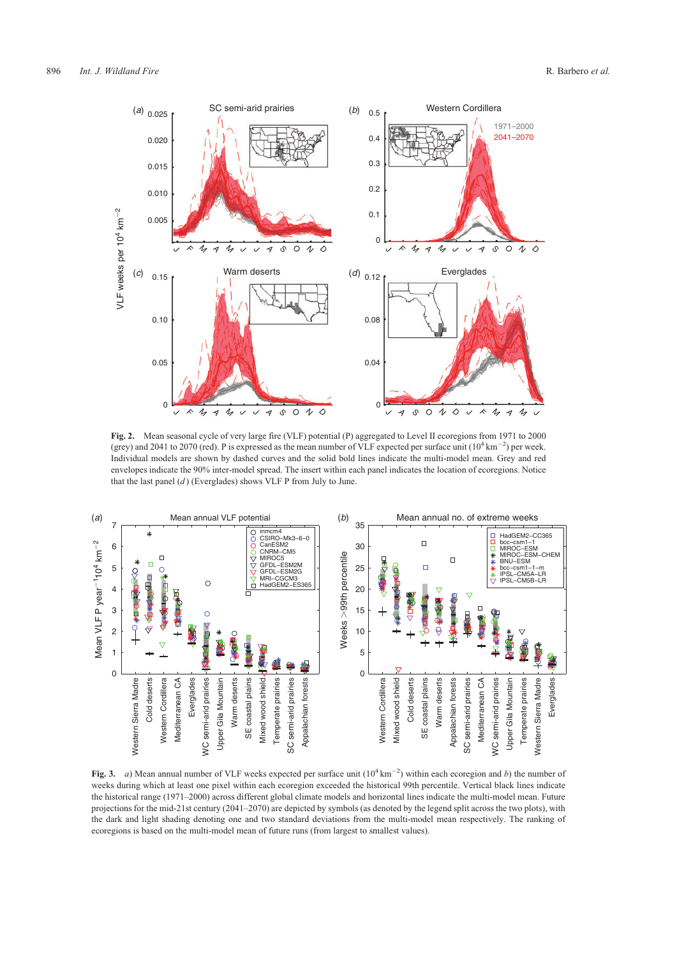<span id="page-4-0"></span>

**Fig. 2.** Mean seasonal cycle of very large fire (VLF) potential (P) aggregated to Level II ecoregions from 1971 to 2000 (grey) and 2041 to 2070 (red). P is expressed as the mean number of VLF expected per surface unit  $(10^4 \text{ km}^{-2})$  per week. Individual models are shown by dashed curves and the solid bold lines indicate the multi-model mean. Grey and red envelopes indicate the 90% inter-model spread. The insert within each panel indicates the location of ecoregions. Notice that the last panel (*d* ) (Everglades) shows VLF P from July to June.



Fig. 3. *a*) Mean annual number of VLF weeks expected per surface unit  $(10^4 \text{ km}^{-2})$  within each ecoregion and *b*) the number of weeks during which at least one pixel within each ecoregion exceeded the historical 99th percentile. Vertical black lines indicate the historical range (1971–2000) across different global climate models and horizontal lines indicate the multi-model mean. Future projections for the mid-21st century (2041–2070) are depicted by symbols (as denoted by the legend split across the two plots), with the dark and light shading denoting one and two standard deviations from the multi-model mean respectively. The ranking of ecoregions is based on the multi-model mean of future runs (from largest to smallest values).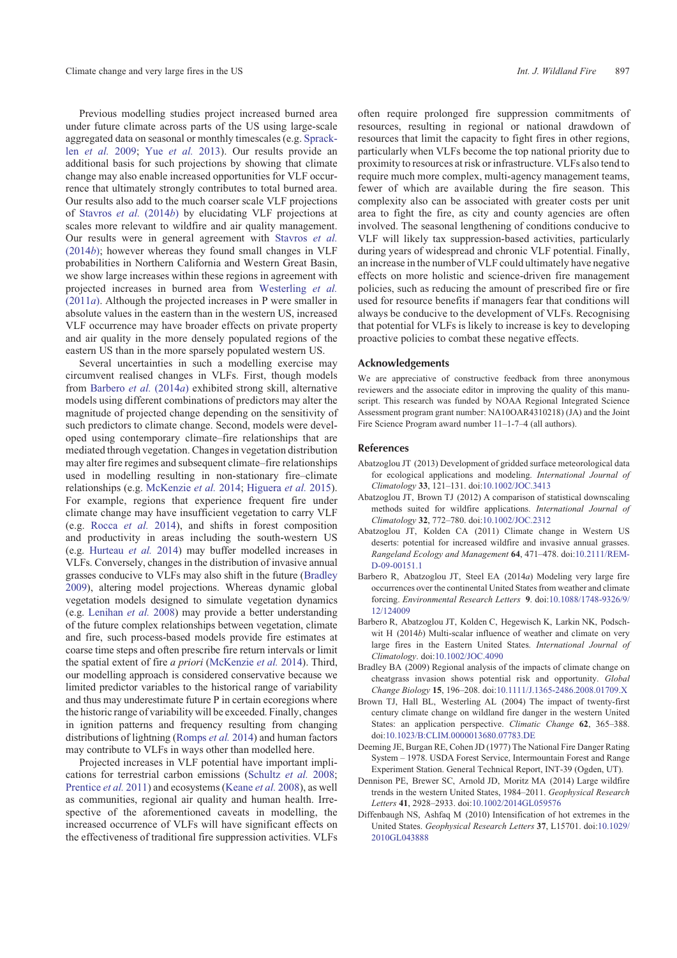<span id="page-5-0"></span>Previous modelling studies project increased burned area under future climate across parts of the US using large-scale aggregated data on seasonal or monthly timescales (e.g. [Sprack](#page-6-0)len *[et al.](#page-6-0)* 2009; Yue *[et al.](#page-7-0)* 2013). Our results provide an additional basis for such projections by showing that climate change may also enable increased opportunities for VLF occurrence that ultimately strongly contributes to total burned area. Our results also add to the much coarser scale VLF projections of [Stavros](#page-6-0) *et al.* (2014*b*) by elucidating VLF projections at scales more relevant to wildfire and air quality management. Our results were in general agreement with [Stavros](#page-6-0) *et al.* [\(2014](#page-6-0)*b*); however whereas they found small changes in VLF probabilities in Northern California and Western Great Basin, we show large increases within these regions in agreement with projected increases in burned area from [Westerling](#page-7-0) *et al.* [\(2011](#page-7-0)*a*). Although the projected increases in P were smaller in absolute values in the eastern than in the western US, increased VLF occurrence may have broader effects on private property and air quality in the more densely populated regions of the eastern US than in the more sparsely populated western US.

Several uncertainties in such a modelling exercise may circumvent realised changes in VLFs. First, though models from Barbero *et al.* (2014*a*) exhibited strong skill, alternative models using different combinations of predictors may alter the magnitude of projected change depending on the sensitivity of such predictors to climate change. Second, models were developed using contemporary climate–fire relationships that are mediated through vegetation. Changes in vegetation distribution may alter fire regimes and subsequent climate–fire relationships used in modelling resulting in non-stationary fire–climate relationships (e.g. [McKenzie](#page-6-0) *et al.* 2014; [Higuera](#page-6-0) *et al.* 2015). For example, regions that experience frequent fire under climate change may have insufficient vegetation to carry VLF (e.g. [Rocca](#page-6-0) *et al.* 2014), and shifts in forest composition and productivity in areas including the south-western US (e.g. [Hurteau](#page-6-0) *et al.* 2014) may buffer modelled increases in VLFs. Conversely, changes in the distribution of invasive annual grasses conducive to VLFs may also shift in the future (Bradley 2009), altering model projections. Whereas dynamic global vegetation models designed to simulate vegetation dynamics (e.g. [Lenihan](#page-6-0) *et al.* 2008) may provide a better understanding of the future complex relationships between vegetation, climate and fire, such process-based models provide fire estimates at coarse time steps and often prescribe fire return intervals or limit the spatial extent of fire *a priori* [\(McKenzie](#page-6-0) *et al.* 2014). Third, our modelling approach is considered conservative because we limited predictor variables to the historical range of variability and thus may underestimate future P in certain ecoregions where the historic range of variability will be exceeded. Finally, changes in ignition patterns and frequency resulting from changing distributions of lightning [\(Romps](#page-6-0) *et al.* 2014) and human factors may contribute to VLFs in ways other than modelled here.

Projected increases in VLF potential have important implications for terrestrial carbon emissions [\(Schultz](#page-6-0) *et al.* 2008; [Prentice](#page-6-0) *et al.* 2011) and ecosystems [\(Keane](#page-6-0) *et al.* 2008), as well as communities, regional air quality and human health. Irrespective of the aforementioned caveats in modelling, the increased occurrence of VLFs will have significant effects on the effectiveness of traditional fire suppression activities. VLFs often require prolonged fire suppression commitments of resources, resulting in regional or national drawdown of resources that limit the capacity to fight fires in other regions, particularly when VLFs become the top national priority due to proximity to resources at risk or infrastructure. VLFs also tend to require much more complex, multi-agency management teams, fewer of which are available during the fire season. This complexity also can be associated with greater costs per unit area to fight the fire, as city and county agencies are often involved. The seasonal lengthening of conditions conducive to VLF will likely tax suppression-based activities, particularly during years of widespread and chronic VLF potential. Finally, an increase in the number of VLF could ultimately have negative effects on more holistic and science-driven fire management policies, such as reducing the amount of prescribed fire or fire used for resource benefits if managers fear that conditions will always be conducive to the development of VLFs. Recognising that potential for VLFs is likely to increase is key to developing proactive policies to combat these negative effects.

#### Acknowledgements

We are appreciative of constructive feedback from three anonymous reviewers and the associate editor in improving the quality of this manuscript. This research was funded by NOAA Regional Integrated Science Assessment program grant number: NA10OAR4310218) (JA) and the Joint Fire Science Program award number 11–1-7–4 (all authors).

#### References

- Abatzoglou JT (2013) Development of gridded surface meteorological data for ecological applications and modeling. *International Journal of Climatology* **33**, 121–131. doi:[10.1002/JOC.3413](http://dx.doi.org/10.1002/JOC.3413)
- Abatzoglou JT, Brown TJ (2012) A comparison of statistical downscaling methods suited for wildfire applications. *International Journal of Climatology* **32**, 772–780. doi:[10.1002/JOC.2312](http://dx.doi.org/10.1002/JOC.2312)
- Abatzoglou JT, Kolden CA (2011) Climate change in Western US deserts: potential for increased wildfire and invasive annual grasses. *Rangeland Ecology and Management* **64**, 471–478. doi[:10.2111/REM-](http://dx.doi.org/10.2111/REM-D-09-00151.1)[D-09-00151.1](http://dx.doi.org/10.2111/REM-D-09-00151.1)
- Barbero R, Abatzoglou JT, Steel EA (2014*a*) Modeling very large fire occurrences over the continental United States from weather and climate forcing. *Environmental Research Letters* **9**. doi[:10.1088/1748-9326/9/](http://dx.doi.org/10.1088/1748-9326/9/12/124009) [12/124009](http://dx.doi.org/10.1088/1748-9326/9/12/124009)
- Barbero R, Abatzoglou JT, Kolden C, Hegewisch K, Larkin NK, Podschwit H (2014*b*) Multi-scalar influence of weather and climate on very large fires in the Eastern United States. *International Journal of Climatology*. doi:[10.1002/JOC.4090](http://dx.doi.org/10.1002/JOC.4090)
- Bradley BA (2009) Regional analysis of the impacts of climate change on cheatgrass invasion shows potential risk and opportunity. *Global Change Biology* **15**, 196–208. doi:[10.1111/J.1365-2486.2008.01709.X](http://dx.doi.org/10.1111/J.1365-2486.2008.01709.X)
- Brown TJ, Hall BL, Westerling AL (2004) The impact of twenty-first century climate change on wildland fire danger in the western United States: an application perspective. *Climatic Change* **62**, 365–388. doi[:10.1023/B:CLIM.0000013680.07783.DE](http://dx.doi.org/10.1023/B:CLIM.0000013680.07783.DE)
- Deeming JE, Burgan RE, Cohen JD (1977) The National Fire Danger Rating System – 1978. USDA Forest Service, Intermountain Forest and Range Experiment Station. General Technical Report, INT-39 (Ogden, UT).
- Dennison PE, Brewer SC, Arnold JD, Moritz MA (2014) Large wildfire trends in the western United States, 1984–2011. *Geophysical Research Letters* **41**, 2928–2933. doi[:10.1002/2014GL059576](http://dx.doi.org/10.1002/2014GL059576)
- Diffenbaugh NS, Ashfaq M (2010) Intensification of hot extremes in the United States. *Geophysical Research Letters* **37**, L15701. doi:[10.1029/](http://dx.doi.org/10.1029/2010GL043888) [2010GL043888](http://dx.doi.org/10.1029/2010GL043888)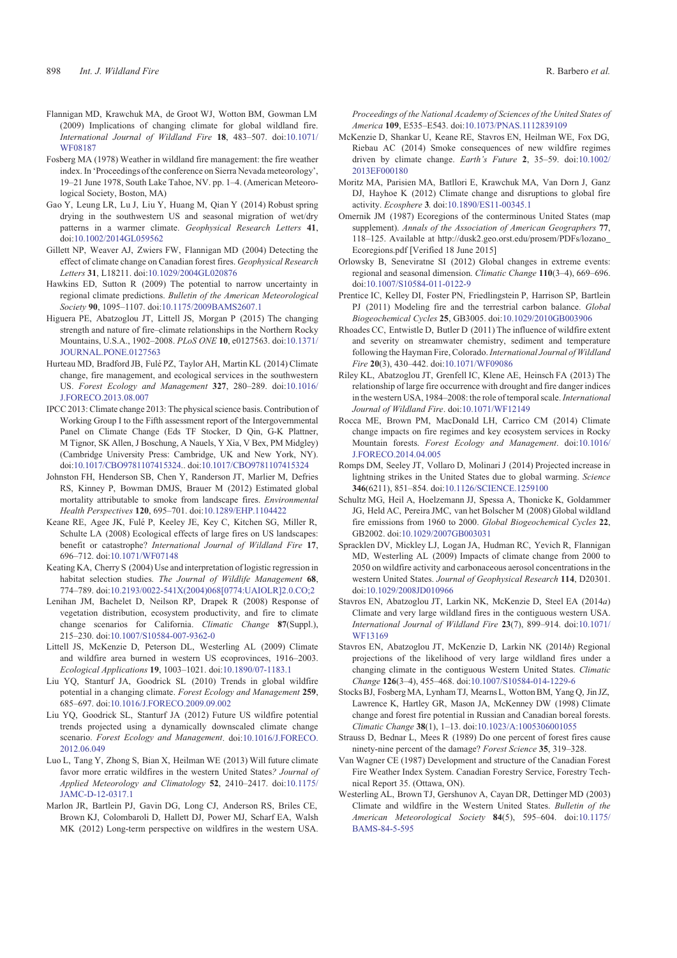- <span id="page-6-0"></span>Flannigan MD, Krawchuk MA, de Groot WJ, Wotton BM, Gowman LM (2009) Implications of changing climate for global wildland fire. *International Journal of Wildland Fire* **18**, 483–507. doi:[10.1071/](http://dx.doi.org/10.1071/WF08187) [WF08187](http://dx.doi.org/10.1071/WF08187)
- Fosberg MA (1978) Weather in wildland fire management: the fire weather index. In 'Proceedings of the conference on Sierra Nevada meteorology', 19–21 June 1978, South Lake Tahoe, NV. pp. 1–4. (American Meteorological Society, Boston, MA)
- Gao Y, Leung LR, Lu J, Liu Y, Huang M, Qian Y (2014) Robust spring drying in the southwestern US and seasonal migration of wet/dry patterns in a warmer climate. *Geophysical Research Letters* **41**, doi[:10.1002/2014GL059562](http://dx.doi.org/10.1002/2014GL059562)
- Gillett NP, Weaver AJ, Zwiers FW, Flannigan MD (2004) Detecting the effect of climate change on Canadian forest fires. *Geophysical Research Letters* **31**, L18211. doi[:10.1029/2004GL020876](http://dx.doi.org/10.1029/2004GL020876)
- Hawkins ED, Sutton R (2009) The potential to narrow uncertainty in regional climate predictions. *Bulletin of the American Meteorological Society* **90**, 1095–1107. doi[:10.1175/2009BAMS2607.1](http://dx.doi.org/10.1175/2009BAMS2607.1)
- Higuera PE, Abatzoglou JT, Littell JS, Morgan P (2015) The changing strength and nature of fire–climate relationships in the Northern Rocky Mountains, U.S.A., 1902–2008. *PLoS ONE* **10**, e0127563. doi:[10.1371/](http://dx.doi.org/10.1371/JOURNAL.PONE.0127563) [JOURNAL.PONE.0127563](http://dx.doi.org/10.1371/JOURNAL.PONE.0127563)
- Hurteau MD, Bradford JB, Fulé PZ, Taylor AH, Martin KL (2014) Climate change, fire management, and ecological services in the southwestern US. *Forest Ecology and Management* **327**, 280–289. doi:[10.1016/](http://dx.doi.org/10.1016/J.FORECO.2013.08.007) [J.FORECO.2013.08.007](http://dx.doi.org/10.1016/J.FORECO.2013.08.007)
- IPCC 2013: Climate change 2013: The physical science basis. Contribution of Working Group I to the Fifth assessment report of the Intergovernmental Panel on Climate Change (Eds TF Stocker, D Qin, G-K Plattner, M Tignor, SK Allen, J Boschung, A Nauels, Y Xia, V Bex, PM Midgley) (Cambridge University Press: Cambridge, UK and New York, NY). doi[:10.1017/CBO9781107415324.. doi:10.1017/CBO9781107415324](http://dx.doi.org/10.1017/CBO9781107415324)
- Johnston FH, Henderson SB, Chen Y, Randerson JT, Marlier M, Defries RS, Kinney P, Bowman DMJS, Brauer M (2012) Estimated global mortality attributable to smoke from landscape fires. *Environmental Health Perspectives* **120**, 695–701. doi[:10.1289/EHP.1104422](http://dx.doi.org/10.1289/EHP.1104422)
- Keane RE, Agee JK, Fulé P, Keeley JE, Key C, Kitchen SG, Miller R, Schulte LA (2008) Ecological effects of large fires on US landscapes: benefit or catastrophe? *International Journal of Wildland Fire* **17**, 696–712. doi[:10.1071/WF07148](http://dx.doi.org/10.1071/WF07148)
- Keating KA, Cherry S (2004) Use and interpretation of logistic regression in habitat selection studies. *The Journal of Wildlife Management* **68**, 774–789. doi[:10.2193/0022-541X\(2004\)068\[0774:UAIOLR\]2.0.CO;2](http://dx.doi.org/10.2193/0022-541X(2004)068[0774:UAIOLR]2.0.CO;2)
- Lenihan JM, Bachelet D, Neilson RP, Drapek R (2008) Response of vegetation distribution, ecosystem productivity, and fire to climate change scenarios for California. *Climatic Change* **87**(Suppl.), 215–230. doi[:10.1007/S10584-007-9362-0](http://dx.doi.org/10.1007/S10584-007-9362-0)
- Littell JS, McKenzie D, Peterson DL, Westerling AL (2009) Climate and wildfire area burned in western US ecoprovinces, 1916–2003. *Ecological Applications* **19**, 1003–1021. doi[:10.1890/07-1183.1](http://dx.doi.org/10.1890/07-1183.1)
- Liu YQ, Stanturf JA, Goodrick SL (2010) Trends in global wildfire potential in a changing climate. *Forest Ecology and Management* **259**, 685–697. doi[:10.1016/J.FORECO.2009.09.002](http://dx.doi.org/10.1016/J.FORECO.2009.09.002)
- Liu YQ, Goodrick SL, Stanturf JA (2012) Future US wildfire potential trends projected using a dynamically downscaled climate change scenario. *Forest Ecology and Management*. doi:[10.1016/J.FORECO.](http://dx.doi.org/10.1016/J.FORECO.2012.06.049) [2012.06.049](http://dx.doi.org/10.1016/J.FORECO.2012.06.049)
- Luo L, Tang Y, Zhong S, Bian X, Heilman WE (2013) Will future climate favor more erratic wildfires in the western United States*? Journal of Applied Meteorology and Climatology* **52**, 2410–2417. doi:[10.1175/](http://dx.doi.org/10.1175/JAMC-D-12-0317.1) [JAMC-D-12-0317.1](http://dx.doi.org/10.1175/JAMC-D-12-0317.1)
- Marlon JR, Bartlein PJ, Gavin DG, Long CJ, Anderson RS, Briles CE, Brown KJ, Colombaroli D, Hallett DJ, Power MJ, Scharf EA, Walsh MK (2012) Long-term perspective on wildfires in the western USA.

*Proceedings of the National Academy of Sciences of the United States of America* **109**, E535–E543. doi:[10.1073/PNAS.1112839109](http://dx.doi.org/10.1073/PNAS.1112839109)

- McKenzie D, Shankar U, Keane RE, Stavros EN, Heilman WE, Fox DG, Riebau AC (2014) Smoke consequences of new wildfire regimes driven by climate change. *Earth's Future* **2**, 35–59. doi:[10.1002/](http://dx.doi.org/10.1002/2013EF000180) [2013EF000180](http://dx.doi.org/10.1002/2013EF000180)
- Moritz MA, Parisien MA, Batllori E, Krawchuk MA, Van Dorn J, Ganz DJ, Hayhoe K (2012) Climate change and disruptions to global fire activity. *Ecosphere* **3**. doi:[10.1890/ES11-00345.1](http://dx.doi.org/10.1890/ES11-00345.1)
- Omernik JM (1987) Ecoregions of the conterminous United States (map supplement). *Annals of the Association of American Geographers* **77**, 118–125. Available at [http://dusk2.geo.orst.edu/prosem/PDFs/lozano\\_](http://dusk2.geo.orst.edu/prosem/PDFs/lozano_Ecoregions.pdf) [Ecoregions.pdf](http://dusk2.geo.orst.edu/prosem/PDFs/lozano_Ecoregions.pdf) [Verified 18 June 2015]
- Orlowsky B, Seneviratne SI (2012) Global changes in extreme events: regional and seasonal dimension. *Climatic Change* **110**(3–4), 669–696. doi[:10.1007/S10584-011-0122-9](http://dx.doi.org/10.1007/S10584-011-0122-9)
- Prentice IC, Kelley DI, Foster PN, Friedlingstein P, Harrison SP, Bartlein PJ (2011) Modeling fire and the terrestrial carbon balance. *Global Biogeochemical Cycles* **25**, GB3005. doi[:10.1029/2010GB003906](http://dx.doi.org/10.1029/2010GB003906)
- Rhoades CC, Entwistle D, Butler D (2011) The influence of wildfire extent and severity on streamwater chemistry, sediment and temperature following the Hayman Fire, Colorado.*International Journal of Wildland Fire* **20**(3), 430–442. doi[:10.1071/WF09086](http://dx.doi.org/10.1071/WF09086)
- Riley KL, Abatzoglou JT, Grenfell IC, Klene AE, Heinsch FA (2013) The relationship of large fire occurrence with drought and fire danger indices in the western USA, 1984–2008: the role of temporal scale.*International Journal of Wildland Fire*. doi[:10.1071/WF12149](http://dx.doi.org/10.1071/WF12149)
- Rocca ME, Brown PM, MacDonald LH, Carrico CM (2014) Climate change impacts on fire regimes and key ecosystem services in Rocky Mountain forests. *Forest Ecology and Management*. doi:[10.1016/](http://dx.doi.org/10.1016/J.FORECO.2014.04.005) [J.FORECO.2014.04.005](http://dx.doi.org/10.1016/J.FORECO.2014.04.005)
- Romps DM, Seeley JT, Vollaro D, Molinari J (2014) Projected increase in lightning strikes in the United States due to global warming. *Science* **346**(6211), 851–854. doi[:10.1126/SCIENCE.1259100](http://dx.doi.org/10.1126/SCIENCE.1259100)
- Schultz MG, Heil A, Hoelzemann JJ, Spessa A, Thonicke K, Goldammer JG, Held AC, Pereira JMC, van het Bolscher M (2008) Global wildland fire emissions from 1960 to 2000. *Global Biogeochemical Cycles* **22**, GB2002. doi[:10.1029/2007GB003031](http://dx.doi.org/10.1029/2007GB003031)
- Spracklen DV, Mickley LJ, Logan JA, Hudman RC, Yevich R, Flannigan MD, Westerling AL (2009) Impacts of climate change from 2000 to 2050 on wildfire activity and carbonaceous aerosol concentrations in the western United States. *Journal of Geophysical Research* **114**, D20301. doi[:10.1029/2008JD010966](http://dx.doi.org/10.1029/2008JD010966)
- Stavros EN, Abatzoglou JT, Larkin NK, McKenzie D, Steel EA (2014*a*) Climate and very large wildland fires in the contiguous western USA. *International Journal of Wildland Fire* **23**(7), 899–914. doi:[10.1071/](http://dx.doi.org/10.1071/WF13169) [WF13169](http://dx.doi.org/10.1071/WF13169)
- Stavros EN, Abatzoglou JT, McKenzie D, Larkin NK (2014*b*) Regional projections of the likelihood of very large wildland fires under a changing climate in the contiguous Western United States. *Climatic Change* **126**(3–4), 455–468. doi[:10.1007/S10584-014-1229-6](http://dx.doi.org/10.1007/S10584-014-1229-6)
- Stocks BJ, FosbergMA, Lynham TJ, Mearns L, WottonBM, Yang Q, Jin JZ, Lawrence K, Hartley GR, Mason JA, McKenney DW (1998) Climate change and forest fire potential in Russian and Canadian boreal forests. *Climatic Change* **38**(1), 1–13. doi:[10.1023/A:1005306001055](http://dx.doi.org/10.1023/A:1005306001055)
- Strauss D, Bednar L, Mees R (1989) Do one percent of forest fires cause ninety-nine percent of the damage? *Forest Science* **35**, 319–328.
- Van Wagner CE (1987) Development and structure of the Canadian Forest Fire Weather Index System. Canadian Forestry Service, Forestry Technical Report 35. (Ottawa, ON).
- Westerling AL, Brown TJ, Gershunov A, Cayan DR, Dettinger MD (2003) Climate and wildfire in the Western United States. *Bulletin of the American Meteorological Society* **84**(5), 595–604. doi:[10.1175/](http://dx.doi.org/10.1175/BAMS-84-5-595) [BAMS-84-5-595](http://dx.doi.org/10.1175/BAMS-84-5-595)